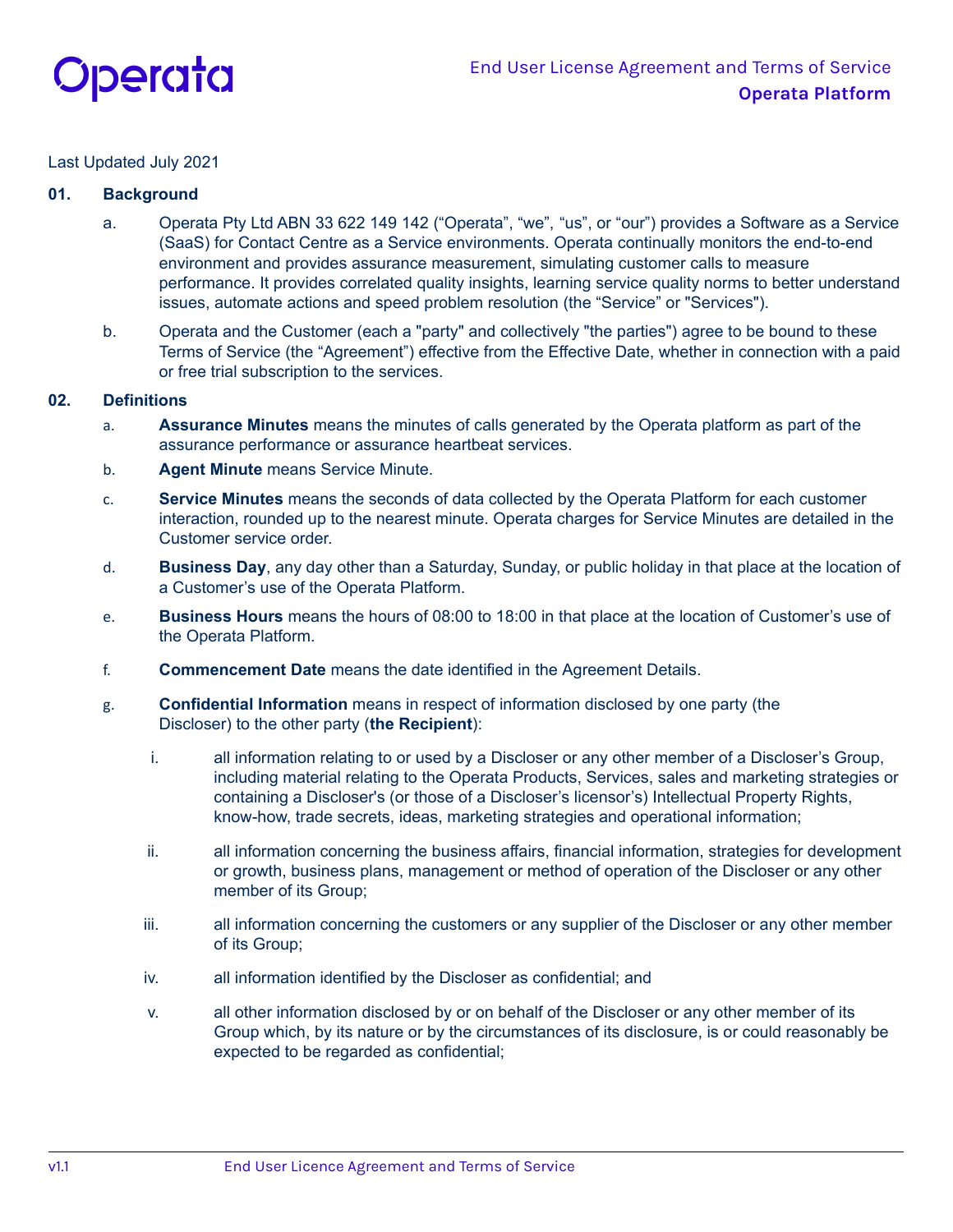

## Last Updated July 2021

## **01. Background**

- a. Operata Pty Ltd ABN 33 622 149 142 ("Operata", "we", "us", or "our") provides a Software as a Service (SaaS) for Contact Centre as a Service environments. Operata continually monitors the end-to-end environment and provides assurance measurement, simulating customer calls to measure performance. It provides correlated quality insights, learning service quality norms to better understand issues, automate actions and speed problem resolution (the "Service" or "Services").
- b. Operata and the Customer (each a "party" and collectively "the parties") agree to be bound to these Terms of Service (the "Agreement") effective from the Effective Date, whether in connection with a paid or free trial subscription to the services.

### **02. Definitions**

- a. **Assurance Minutes** means the minutes of calls generated by the Operata platform as part of the assurance performance or assurance heartbeat services.
- b. **Agent Minute** means Service Minute.
- c. **Service Minutes** means the seconds of data collected by the Operata Platform for each customer interaction, rounded up to the nearest minute. Operata charges for Service Minutes are detailed in the Customer service order.
- d. **Business Day**, any day other than a Saturday, Sunday, or public holiday in that place at the location of a Customer's use of the Operata Platform.
- e. **Business Hours** means the hours of 08:00 to 18:00 in that place at the location of Customer's use of the Operata Platform.
- f. **Commencement Date** means the date identified in the Agreement Details.
- g. **Confidential Information** means in respect of information disclosed by one party (the Discloser) to the other party (**the Recipient**):
	- i. all information relating to or used by a Discloser or any other member of a Discloser's Group, including material relating to the Operata Products, Services, sales and marketing strategies or containing a Discloser's (or those of a Discloser's licensor's) Intellectual Property Rights, know-how, trade secrets, ideas, marketing strategies and operational information;
	- ii. all information concerning the business affairs, financial information, strategies for development or growth, business plans, management or method of operation of the Discloser or any other member of its Group;
	- iii. all information concerning the customers or any supplier of the Discloser or any other member of its Group;
	- iv. all information identified by the Discloser as confidential; and
	- v. all other information disclosed by or on behalf of the Discloser or any other member of its Group which, by its nature or by the circumstances of its disclosure, is or could reasonably be expected to be regarded as confidential;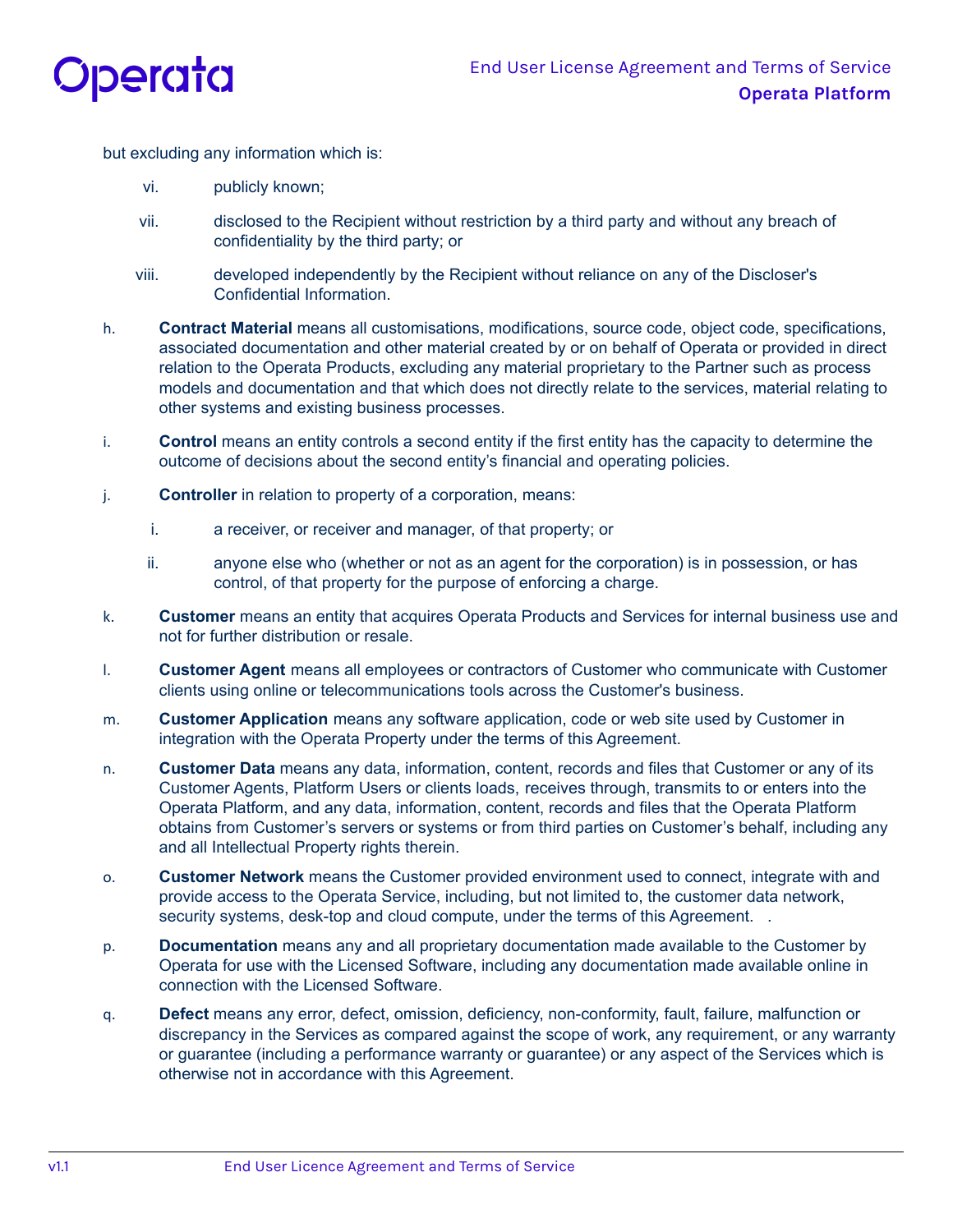

but excluding any information which is:

- vi. publicly known;
- vii. disclosed to the Recipient without restriction by a third party and without any breach of confidentiality by the third party; or
- viii. developed independently by the Recipient without reliance on any of the Discloser's Confidential Information.
- h. **Contract Material** means all customisations, modifications, source code, object code, specifications, associated documentation and other material created by or on behalf of Operata or provided in direct relation to the Operata Products, excluding any material proprietary to the Partner such as process models and documentation and that which does not directly relate to the services, material relating to other systems and existing business processes.
- i. **Control** means an entity controls a second entity if the first entity has the capacity to determine the outcome of decisions about the second entity's financial and operating policies.
- j. **Controller** in relation to property of a corporation, means:
	- i. a receiver, or receiver and manager, of that property; or
	- ii. anyone else who (whether or not as an agent for the corporation) is in possession, or has control, of that property for the purpose of enforcing a charge.
- k. **Customer** means an entity that acquires Operata Products and Services for internal business use and not for further distribution or resale.
- l. **Customer Agent** means all employees or contractors of Customer who communicate with Customer clients using online or telecommunications tools across the Customer's business.
- m. **Customer Application** means any software application, code or web site used by Customer in integration with the Operata Property under the terms of this Agreement.
- n. **Customer Data** means any data, information, content, records and files that Customer or any of its Customer Agents, Platform Users or clients loads, receives through, transmits to or enters into the Operata Platform, and any data, information, content, records and files that the Operata Platform obtains from Customer's servers or systems or from third parties on Customer's behalf, including any and all Intellectual Property rights therein.
- o. **Customer Network** means the Customer provided environment used to connect, integrate with and provide access to the Operata Service, including, but not limited to, the customer data network, security systems, desk-top and cloud compute, under the terms of this Agreement.
- p. **Documentation** means any and all proprietary documentation made available to the Customer by Operata for use with the Licensed Software, including any documentation made available online in connection with the Licensed Software.
- q. **Defect** means any error, defect, omission, deficiency, non-conformity, fault, failure, malfunction or discrepancy in the Services as compared against the scope of work, any requirement, or any warranty or guarantee (including a performance warranty or guarantee) or any aspect of the Services which is otherwise not in accordance with this Agreement.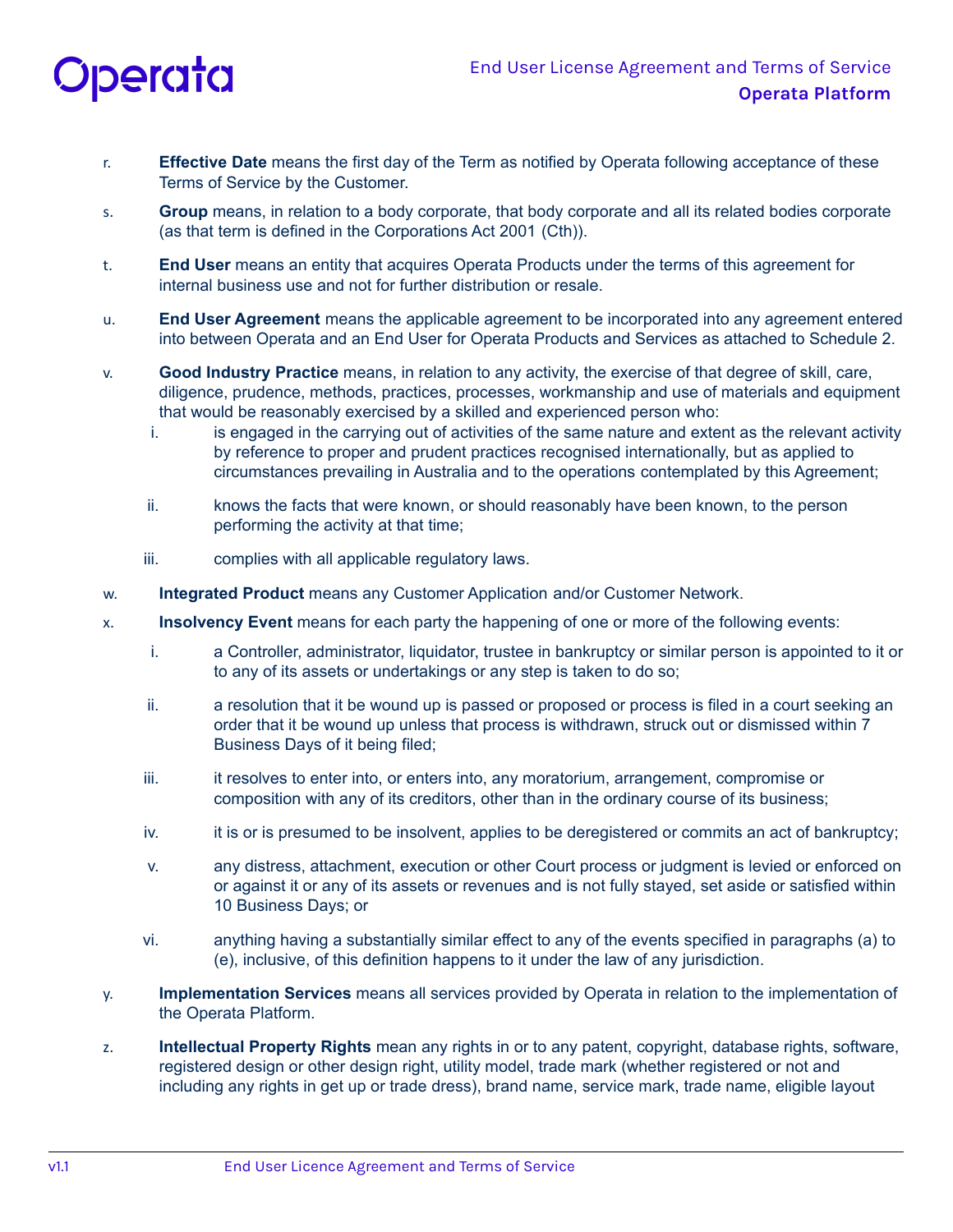

- r. **Effective Date** means the first day of the Term as notified by Operata following acceptance of these Terms of Service by the Customer.
- s. **Group** means, in relation to a body corporate, that body corporate and all its related bodies corporate (as that term is defined in the Corporations Act 2001 (Cth)).
- t. **End User** means an entity that acquires Operata Products under the terms of this agreement for internal business use and not for further distribution or resale.
- u. **End User Agreement** means the applicable agreement to be incorporated into any agreement entered into between Operata and an End User for Operata Products and Services as attached to Schedule 2.
- v. **Good Industry Practice** means, in relation to any activity, the exercise of that degree of skill, care, diligence, prudence, methods, practices, processes, workmanship and use of materials and equipment that would be reasonably exercised by a skilled and experienced person who:
	- i. is engaged in the carrying out of activities of the same nature and extent as the relevant activity by reference to proper and prudent practices recognised internationally, but as applied to circumstances prevailing in Australia and to the operations contemplated by this Agreement;
	- ii. knows the facts that were known, or should reasonably have been known, to the person performing the activity at that time;
	- iii. complies with all applicable regulatory laws.
- w. **Integrated Product** means any Customer Application and/or Customer Network.
- x. **Insolvency Event** means for each party the happening of one or more of the following events:
	- i. a Controller, administrator, liquidator, trustee in bankruptcy or similar person is appointed to it or to any of its assets or undertakings or any step is taken to do so;
	- ii. a resolution that it be wound up is passed or proposed or process is filed in a court seeking an order that it be wound up unless that process is withdrawn, struck out or dismissed within 7 Business Days of it being filed;
	- iii. it resolves to enter into, or enters into, any moratorium, arrangement, compromise or composition with any of its creditors, other than in the ordinary course of its business;
	- iv. it is or is presumed to be insolvent, applies to be deregistered or commits an act of bankruptcy;
	- v. any distress, attachment, execution or other Court process or judgment is levied or enforced on or against it or any of its assets or revenues and is not fully stayed, set aside or satisfied within 10 Business Days; or
	- vi. anything having a substantially similar effect to any of the events specified in paragraphs (a) to (e), inclusive, of this definition happens to it under the law of any jurisdiction.
- y. **Implementation Services** means all services provided by Operata in relation to the implementation of the Operata Platform.
- z. **Intellectual Property Rights** mean any rights in or to any patent, copyright, database rights, software, registered design or other design right, utility model, trade mark (whether registered or not and including any rights in get up or trade dress), brand name, service mark, trade name, eligible layout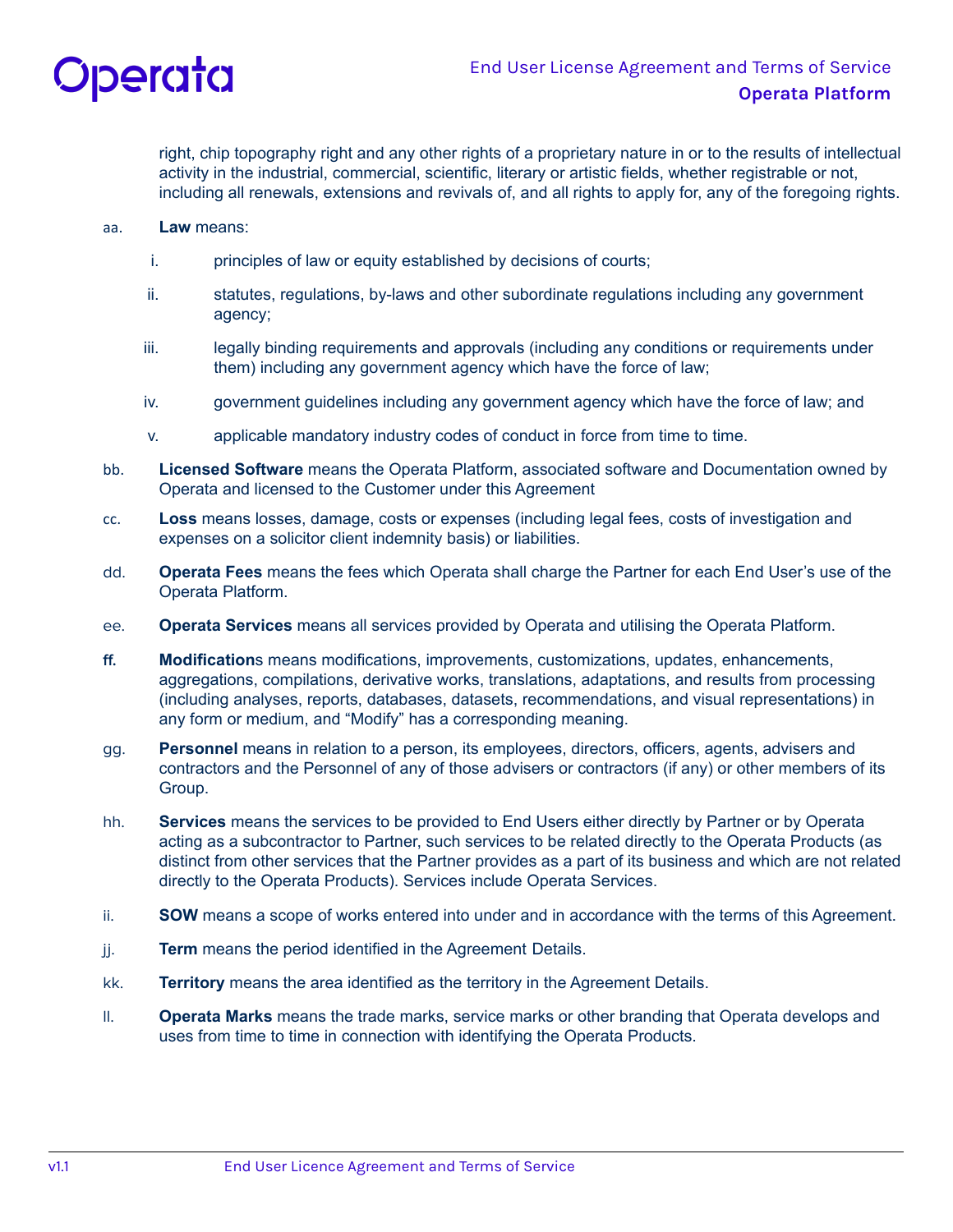

right, chip topography right and any other rights of a proprietary nature in or to the results of intellectual activity in the industrial, commercial, scientific, literary or artistic fields, whether registrable or not, including all renewals, extensions and revivals of, and all rights to apply for, any of the foregoing rights.

- aa. **Law** means:
	- i. principles of law or equity established by decisions of courts;
	- ii. statutes, regulations, by-laws and other subordinate regulations including any government agency;
	- iii. legally binding requirements and approvals (including any conditions or requirements under them) including any government agency which have the force of law;
	- iv. government guidelines including any government agency which have the force of law; and
	- v. applicable mandatory industry codes of conduct in force from time to time.
- bb. **Licensed Software** means the Operata Platform, associated software and Documentation owned by Operata and licensed to the Customer under this Agreement
- cc. **Loss** means losses, damage, costs or expenses (including legal fees, costs of investigation and expenses on a solicitor client indemnity basis) or liabilities.
- dd. **Operata Fees** means the fees which Operata shall charge the Partner for each End User's use of the Operata Platform.
- ee. **Operata Services** means all services provided by Operata and utilising the Operata Platform.
- **ff. Modification**s means modifications, improvements, customizations, updates, enhancements, aggregations, compilations, derivative works, translations, adaptations, and results from processing (including analyses, reports, databases, datasets, recommendations, and visual representations) in any form or medium, and "Modify" has a corresponding meaning.
- gg. **Personnel** means in relation to a person, its employees, directors, officers, agents, advisers and contractors and the Personnel of any of those advisers or contractors (if any) or other members of its Group.
- hh. **Services** means the services to be provided to End Users either directly by Partner or by Operata acting as a subcontractor to Partner, such services to be related directly to the Operata Products (as distinct from other services that the Partner provides as a part of its business and which are not related directly to the Operata Products). Services include Operata Services.
- ii. **SOW** means a scope of works entered into under and in accordance with the terms of this Agreement.
- jj. **Term** means the period identified in the Agreement Details.
- kk. **Territory** means the area identified as the territory in the Agreement Details.
- ll. **Operata Marks** means the trade marks, service marks or other branding that Operata develops and uses from time to time in connection with identifying the Operata Products.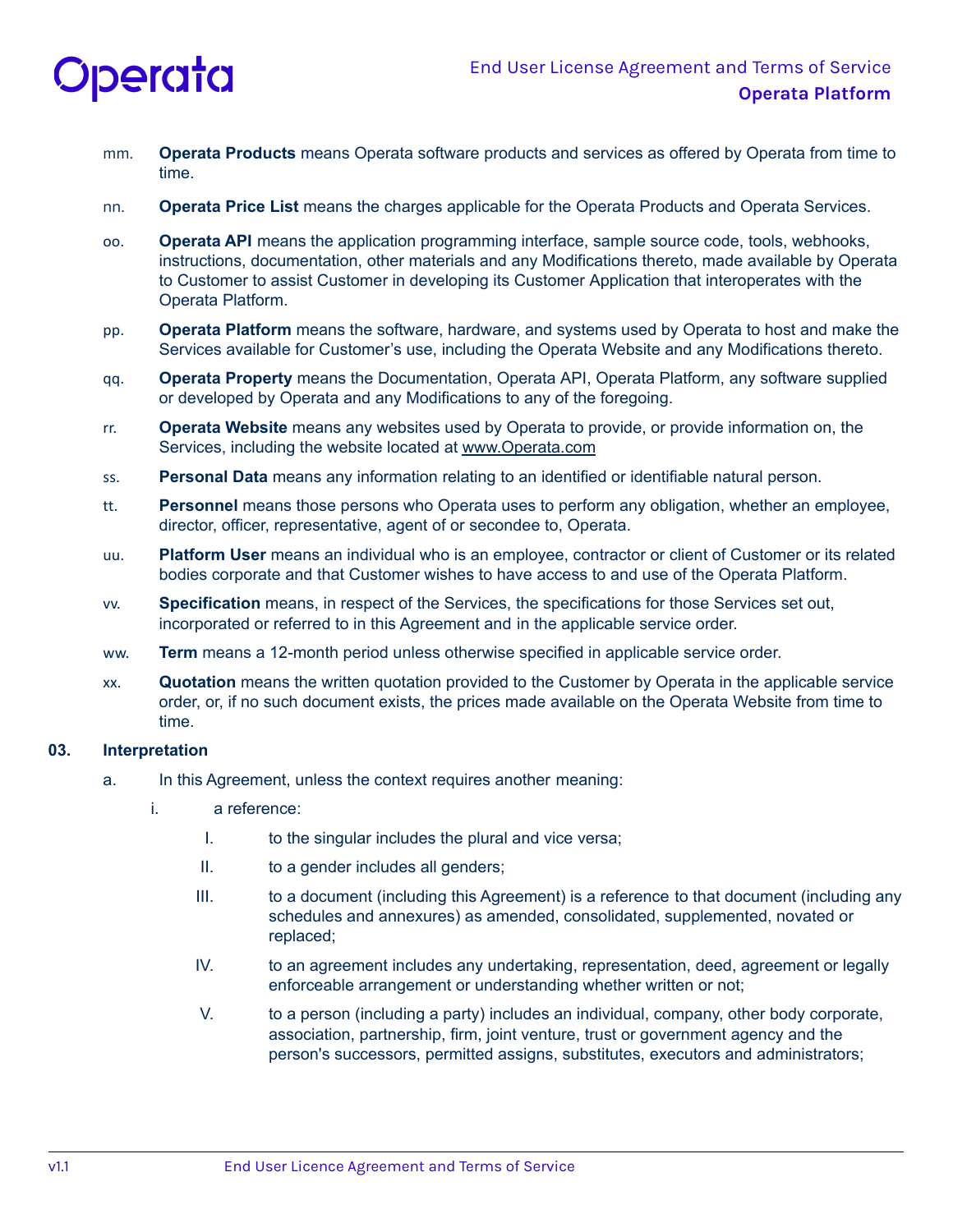

- mm. **Operata Products** means Operata software products and services as offered by Operata from time to time.
- nn. **Operata Price List** means the charges applicable for the Operata Products and Operata Services.
- oo. **Operata API** means the application programming interface, sample source code, tools, webhooks, instructions, documentation, other materials and any Modifications thereto, made available by Operata to Customer to assist Customer in developing its Customer Application that interoperates with the Operata Platform.
- pp. **Operata Platform** means the software, hardware, and systems used by Operata to host and make the Services available for Customer's use, including the Operata Website and any Modifications thereto.
- qq. **Operata Property** means the Documentation, Operata API, Operata Platform, any software supplied or developed by Operata and any Modifications to any of the foregoing.
- rr. **Operata Website** means any websites used by Operata to provide, or provide information on, the Services, including the website located at [www.Operata.com](http://www.operata.com)
- ss. **Personal Data** means any information relating to an identified or identifiable natural person.
- tt. **Personnel** means those persons who Operata uses to perform any obligation, whether an employee, director, officer, representative, agent of or secondee to, Operata.
- uu. **Platform User** means an individual who is an employee, contractor or client of Customer or its related bodies corporate and that Customer wishes to have access to and use of the Operata Platform.
- vv. **Specification** means, in respect of the Services, the specifications for those Services set out, incorporated or referred to in this Agreement and in the applicable service order.
- ww. **Term** means a 12-month period unless otherwise specified in applicable service order.
- xx. **Quotation** means the written quotation provided to the Customer by Operata in the applicable service order, or, if no such document exists, the prices made available on the Operata Website from time to time.

#### **03. Interpretation**

- a. In this Agreement, unless the context requires another meaning:
	- i. a reference:
		- I. to the singular includes the plural and vice versa;
		- II. to a gender includes all genders;
		- III. to a document (including this Agreement) is a reference to that document (including any schedules and annexures) as amended, consolidated, supplemented, novated or replaced;
		- IV. to an agreement includes any undertaking, representation, deed, agreement or legally enforceable arrangement or understanding whether written or not;
		- V. to a person (including a party) includes an individual, company, other body corporate, association, partnership, firm, joint venture, trust or government agency and the person's successors, permitted assigns, substitutes, executors and administrators;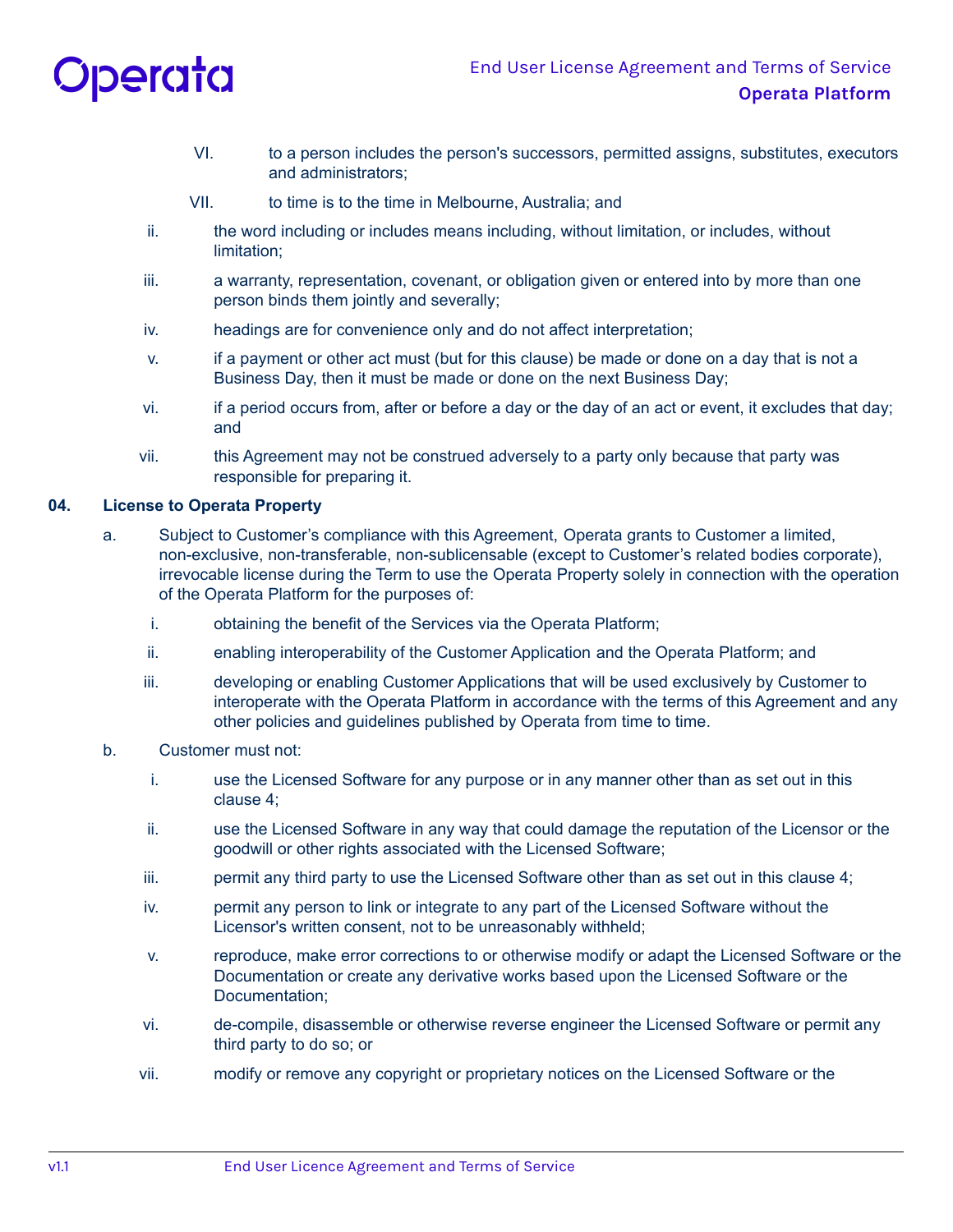

- VI. to a person includes the person's successors, permitted assigns, substitutes, executors and administrators;
- VII. to time is to the time in Melbourne, Australia; and
- ii. the word including or includes means including, without limitation, or includes, without limitation;
- iii. a warranty, representation, covenant, or obligation given or entered into by more than one person binds them jointly and severally;
- iv. headings are for convenience only and do not affect interpretation;
- v. if a payment or other act must (but for this clause) be made or done on a day that is not a Business Day, then it must be made or done on the next Business Day;
- vi. if a period occurs from, after or before a day or the day of an act or event, it excludes that day; and
- vii. this Agreement may not be construed adversely to a party only because that party was responsible for preparing it.

## **04. License to Operata Property**

- a. Subject to Customer's compliance with this Agreement, Operata grants to Customer a limited, non-exclusive, non-transferable, non-sublicensable (except to Customer's related bodies corporate), irrevocable license during the Term to use the Operata Property solely in connection with the operation of the Operata Platform for the purposes of:
	- i. obtaining the benefit of the Services via the Operata Platform;
	- ii. enabling interoperability of the Customer Application and the Operata Platform; and
	- iii. developing or enabling Customer Applications that will be used exclusively by Customer to interoperate with the Operata Platform in accordance with the terms of this Agreement and any other policies and guidelines published by Operata from time to time.
- b. Customer must not:
	- i. use the Licensed Software for any purpose or in any manner other than as set out in this clause 4;
	- ii. use the Licensed Software in any way that could damage the reputation of the Licensor or the goodwill or other rights associated with the Licensed Software;
	- iii. permit any third party to use the Licensed Software other than as set out in this clause 4;
	- iv. permit any person to link or integrate to any part of the Licensed Software without the Licensor's written consent, not to be unreasonably withheld;
	- v. reproduce, make error corrections to or otherwise modify or adapt the Licensed Software or the Documentation or create any derivative works based upon the Licensed Software or the Documentation;
	- vi. de-compile, disassemble or otherwise reverse engineer the Licensed Software or permit any third party to do so; or
	- vii. modify or remove any copyright or proprietary notices on the Licensed Software or the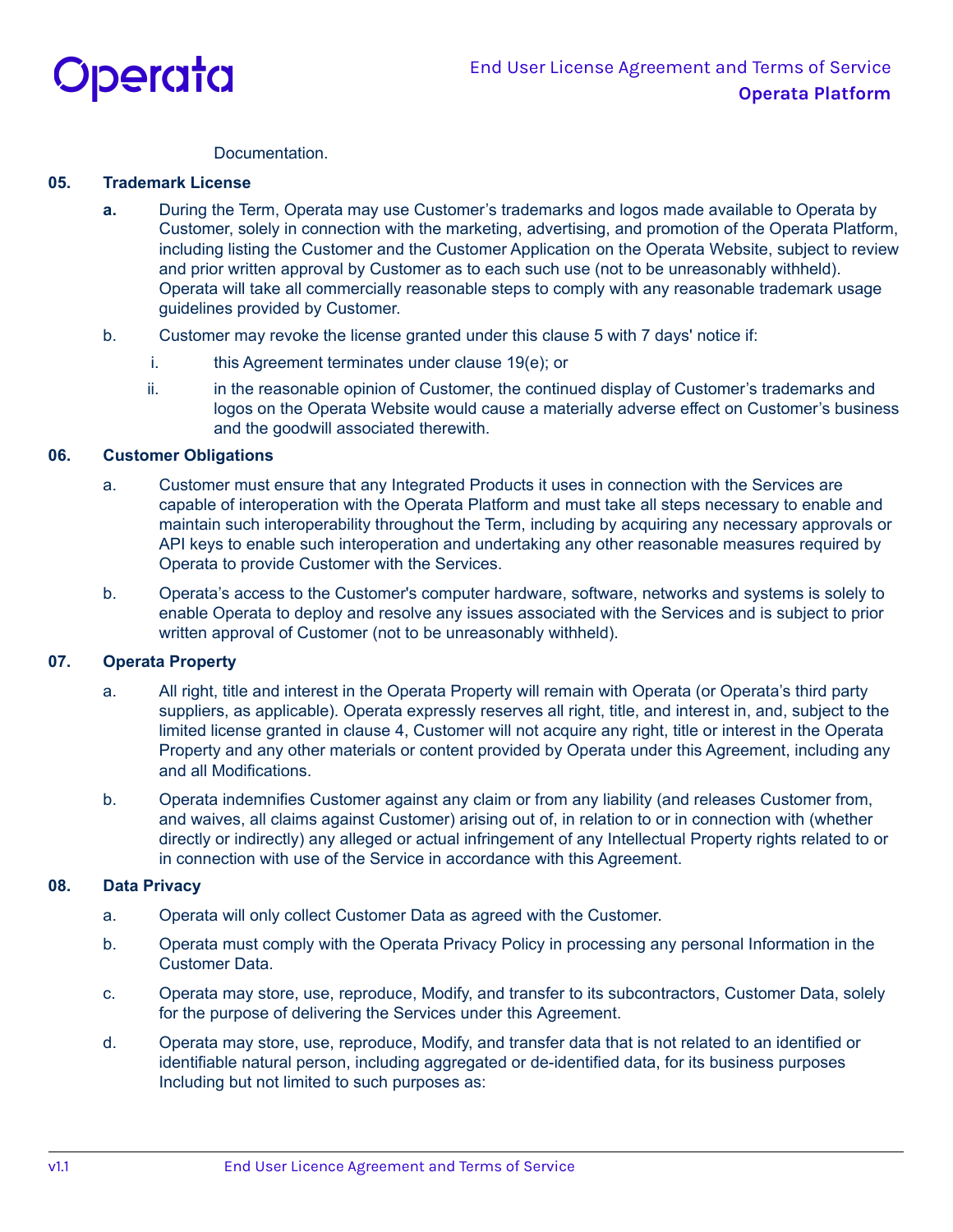

### **Documentation**

### **05. Trademark License**

- **a.** During the Term, Operata may use Customer's trademarks and logos made available to Operata by Customer, solely in connection with the marketing, advertising, and promotion of the Operata Platform, including listing the Customer and the Customer Application on the Operata Website, subject to review and prior written approval by Customer as to each such use (not to be unreasonably withheld). Operata will take all commercially reasonable steps to comply with any reasonable trademark usage guidelines provided by Customer.
- b. Customer may revoke the license granted under this clause 5 with 7 days' notice if:
	- i. this Agreement terminates under clause 19(e); or
	- ii. in the reasonable opinion of Customer, the continued display of Customer's trademarks and logos on the Operata Website would cause a materially adverse effect on Customer's business and the goodwill associated therewith.

### **06. Customer Obligations**

- a. Customer must ensure that any Integrated Products it uses in connection with the Services are capable of interoperation with the Operata Platform and must take all steps necessary to enable and maintain such interoperability throughout the Term, including by acquiring any necessary approvals or API keys to enable such interoperation and undertaking any other reasonable measures required by Operata to provide Customer with the Services.
- b. Operata's access to the Customer's computer hardware, software, networks and systems is solely to enable Operata to deploy and resolve any issues associated with the Services and is subject to prior written approval of Customer (not to be unreasonably withheld).

## **07. Operata Property**

- a. All right, title and interest in the Operata Property will remain with Operata (or Operata's third party suppliers, as applicable). Operata expressly reserves all right, title, and interest in, and, subject to the limited license granted in clause 4, Customer will not acquire any right, title or interest in the Operata Property and any other materials or content provided by Operata under this Agreement, including any and all Modifications.
- b. Operata indemnifies Customer against any claim or from any liability (and releases Customer from, and waives, all claims against Customer) arising out of, in relation to or in connection with (whether directly or indirectly) any alleged or actual infringement of any Intellectual Property rights related to or in connection with use of the Service in accordance with this Agreement.

#### **08. Data Privacy**

- a. Operata will only collect Customer Data as agreed with the Customer.
- b. Operata must comply with the Operata Privacy Policy in processing any personal Information in the Customer Data.
- c. Operata may store, use, reproduce, Modify, and transfer to its subcontractors, Customer Data, solely for the purpose of delivering the Services under this Agreement.
- d. Operata may store, use, reproduce, Modify, and transfer data that is not related to an identified or identifiable natural person, including aggregated or de-identified data, for its business purposes Including but not limited to such purposes as: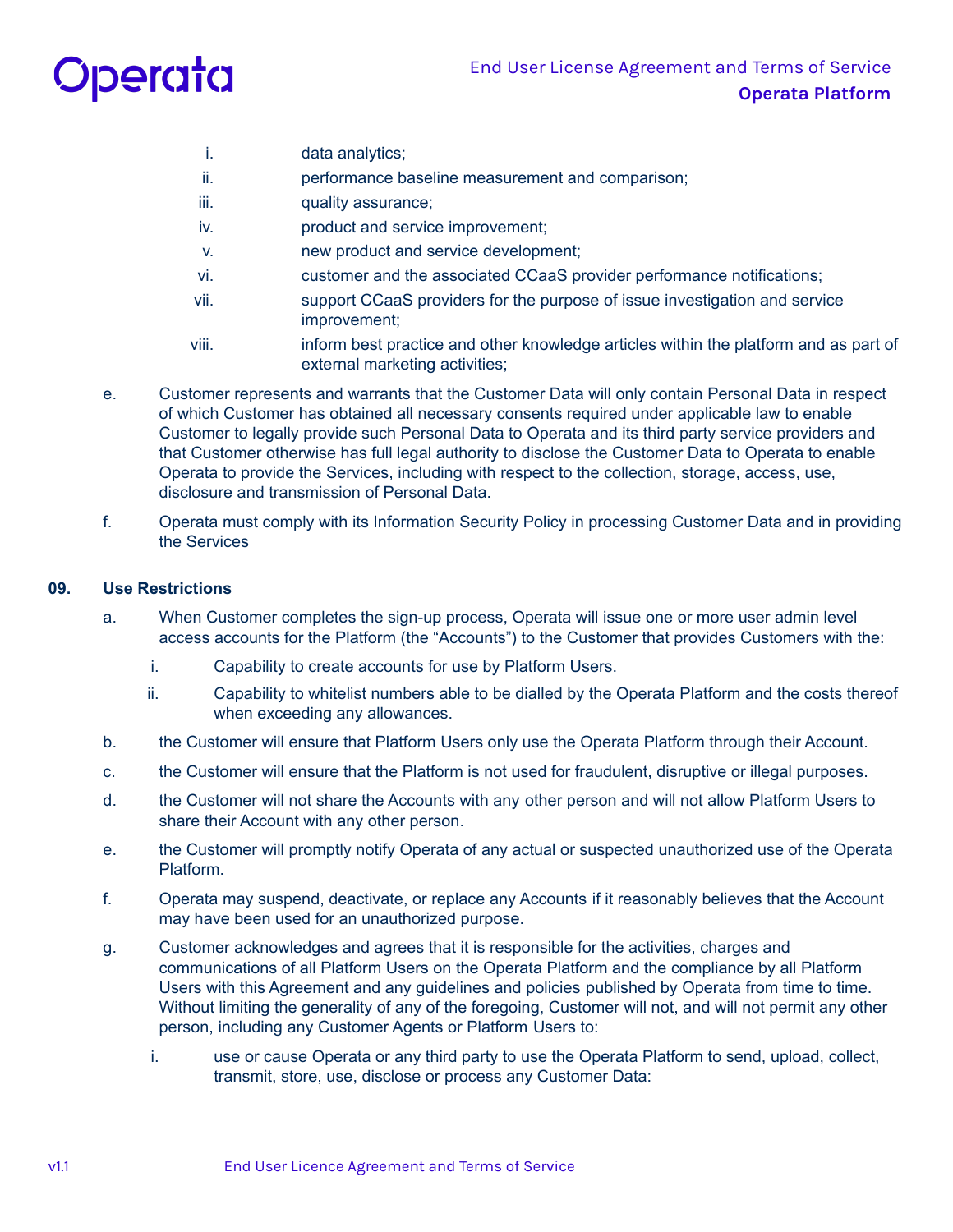

- i. data analytics;
- ii. performance baseline measurement and comparison;
- iii. **quality assurance**;
- iv. product and service improvement;
- v. new product and service development;
- vi. customer and the associated CCaaS provider performance notifications;
- vii. support CCaaS providers for the purpose of issue investigation and service improvement;
- viii. inform best practice and other knowledge articles within the platform and as part of external marketing activities;
- e. Customer represents and warrants that the Customer Data will only contain Personal Data in respect of which Customer has obtained all necessary consents required under applicable law to enable Customer to legally provide such Personal Data to Operata and its third party service providers and that Customer otherwise has full legal authority to disclose the Customer Data to Operata to enable Operata to provide the Services, including with respect to the collection, storage, access, use, disclosure and transmission of Personal Data.
- f. Operata must comply with its Information Security Policy in processing Customer Data and in providing the Services

## **09. Use Restrictions**

- a. When Customer completes the sign-up process, Operata will issue one or more user admin level access accounts for the Platform (the "Accounts") to the Customer that provides Customers with the:
	- i. Capability to create accounts for use by Platform Users.
	- ii. Capability to whitelist numbers able to be dialled by the Operata Platform and the costs thereof when exceeding any allowances.
- b. the Customer will ensure that Platform Users only use the Operata Platform through their Account.
- c. the Customer will ensure that the Platform is not used for fraudulent, disruptive or illegal purposes.
- d. the Customer will not share the Accounts with any other person and will not allow Platform Users to share their Account with any other person.
- e. the Customer will promptly notify Operata of any actual or suspected unauthorized use of the Operata Platform.
- f. Operata may suspend, deactivate, or replace any Accounts if it reasonably believes that the Account may have been used for an unauthorized purpose.
- g. Customer acknowledges and agrees that it is responsible for the activities, charges and communications of all Platform Users on the Operata Platform and the compliance by all Platform Users with this Agreement and any guidelines and policies published by Operata from time to time. Without limiting the generality of any of the foregoing, Customer will not, and will not permit any other person, including any Customer Agents or Platform Users to:
	- i. use or cause Operata or any third party to use the Operata Platform to send, upload, collect, transmit, store, use, disclose or process any Customer Data: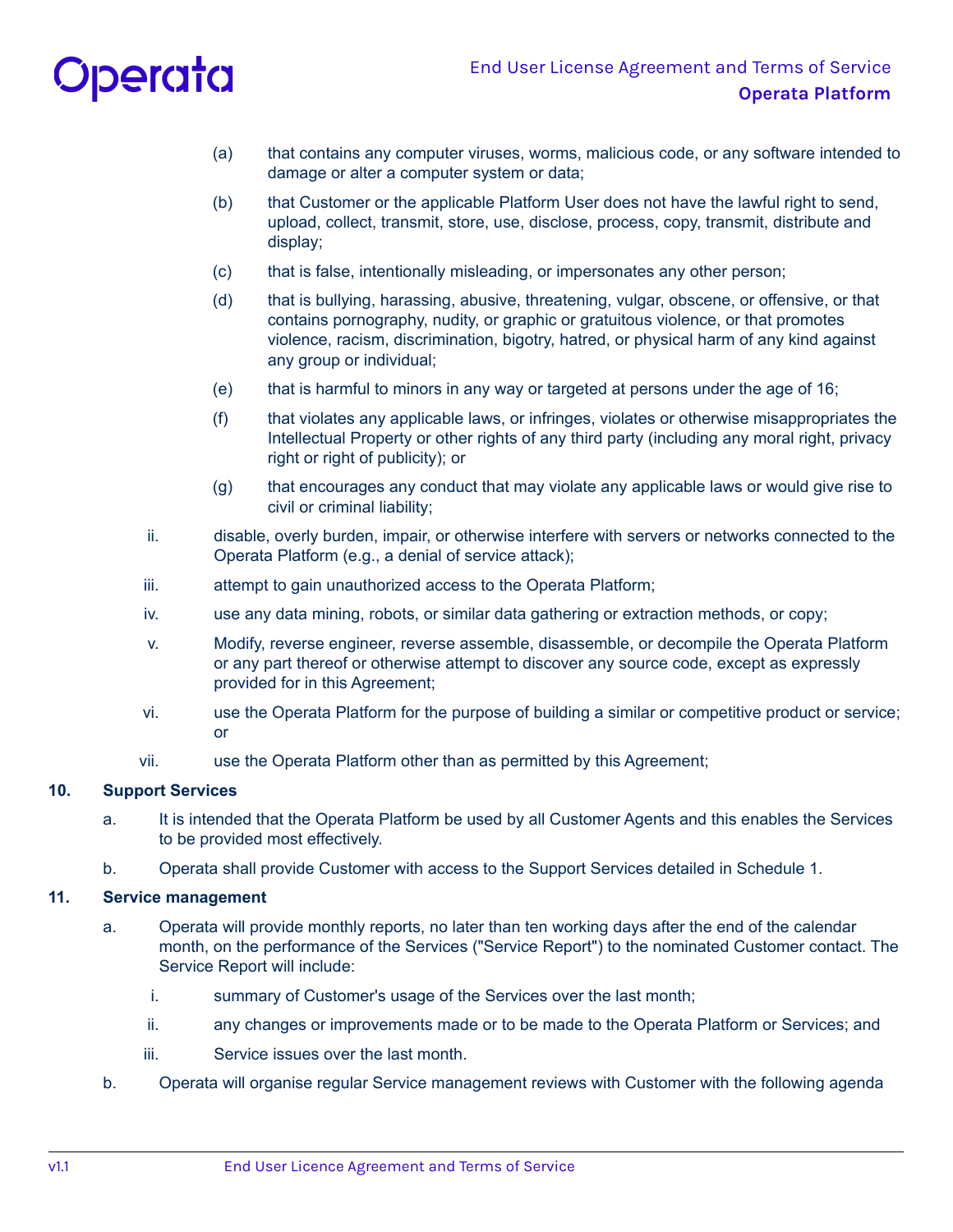# Operata

- (a) that contains any computer viruses, worms, malicious code, or any software intended to damage or alter a computer system or data;
- (b) that Customer or the applicable Platform User does not have the lawful right to send, upload, collect, transmit, store, use, disclose, process, copy, transmit, distribute and display;
- (c) that is false, intentionally misleading, or impersonates any other person;
- (d) that is bullying, harassing, abusive, threatening, vulgar, obscene, or offensive, or that contains pornography, nudity, or graphic or gratuitous violence, or that promotes violence, racism, discrimination, bigotry, hatred, or physical harm of any kind against any group or individual;
- (e) that is harmful to minors in any way or targeted at persons under the age of 16;
- (f) that violates any applicable laws, or infringes, violates or otherwise misappropriates the Intellectual Property or other rights of any third party (including any moral right, privacy right or right of publicity); or
- (g) that encourages any conduct that may violate any applicable laws or would give rise to civil or criminal liability;
- ii. disable, overly burden, impair, or otherwise interfere with servers or networks connected to the Operata Platform (e.g., a denial of service attack);
- iii. attempt to gain unauthorized access to the Operata Platform;
- iv. use any data mining, robots, or similar data gathering or extraction methods, or copy;
- v. Modify, reverse engineer, reverse assemble, disassemble, or decompile the Operata Platform or any part thereof or otherwise attempt to discover any source code, except as expressly provided for in this Agreement;
- vi. use the Operata Platform for the purpose of building a similar or competitive product or service; or
- vii. use the Operata Platform other than as permitted by this Agreement;

## **10. Support Services**

- a. It is intended that the Operata Platform be used by all Customer Agents and this enables the Services to be provided most effectively.
- b. Operata shall provide Customer with access to the Support Services detailed in Schedule 1.

### **11. Service management**

- a. Operata will provide monthly reports, no later than ten working days after the end of the calendar month, on the performance of the Services ("Service Report") to the nominated Customer contact. The Service Report will include:
	- i. summary of Customer's usage of the Services over the last month;
	- ii. any changes or improvements made or to be made to the Operata Platform or Services; and
	- iii. Service issues over the last month.
- b. Operata will organise regular Service management reviews with Customer with the following agenda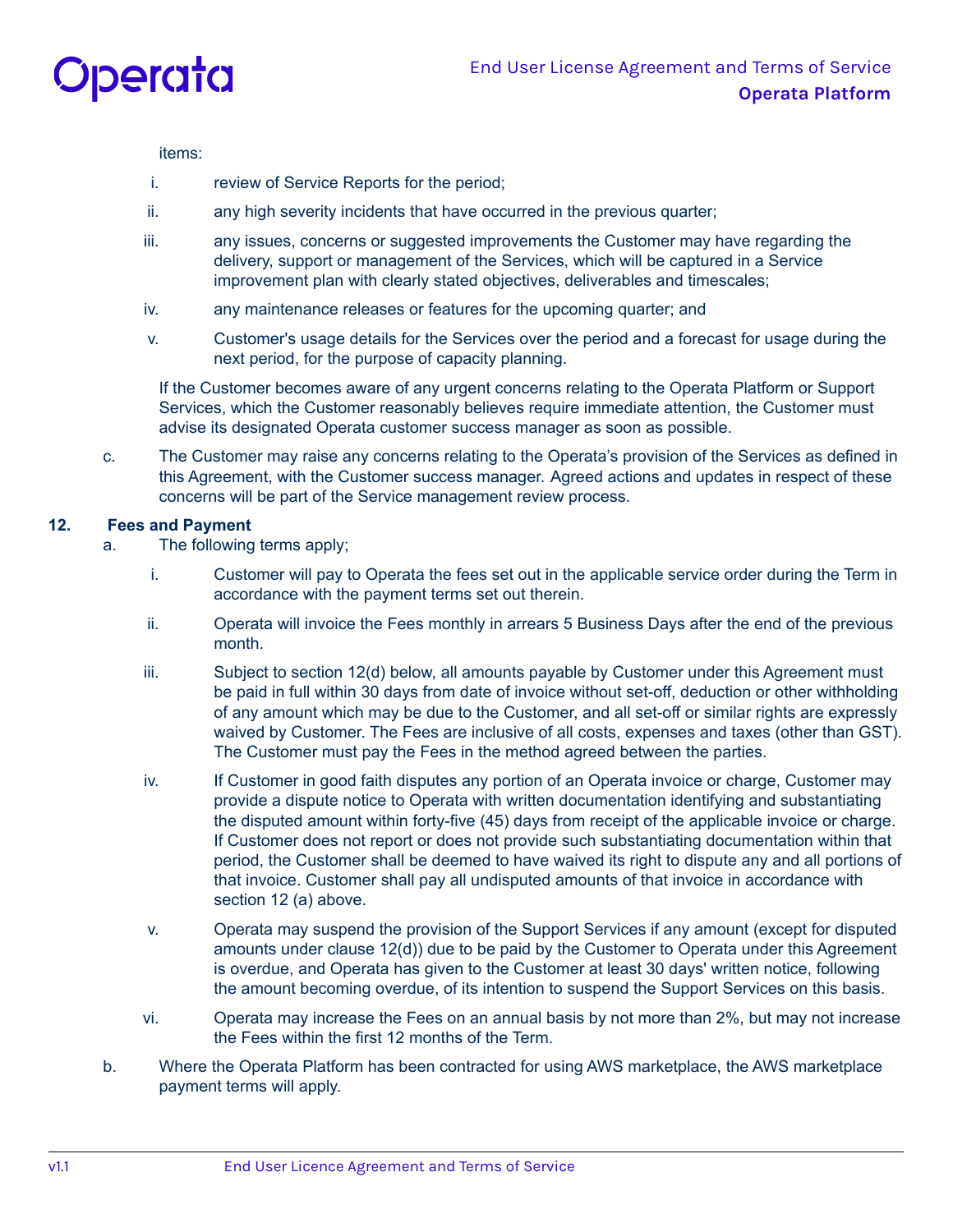

items:

- i. review of Service Reports for the period;
- ii. any high severity incidents that have occurred in the previous quarter;
- iii. any issues, concerns or suggested improvements the Customer may have regarding the delivery, support or management of the Services, which will be captured in a Service improvement plan with clearly stated objectives, deliverables and timescales;
- iv. any maintenance releases or features for the upcoming quarter; and
- v. Customer's usage details for the Services over the period and a forecast for usage during the next period, for the purpose of capacity planning.

If the Customer becomes aware of any urgent concerns relating to the Operata Platform or Support Services, which the Customer reasonably believes require immediate attention, the Customer must advise its designated Operata customer success manager as soon as possible.

c. The Customer may raise any concerns relating to the Operata's provision of the Services as defined in this Agreement, with the Customer success manager. Agreed actions and updates in respect of these concerns will be part of the Service management review process.

# **12. Fees and Payment**

- a. The following terms apply;
	- i. Customer will pay to Operata the fees set out in the applicable service order during the Term in accordance with the payment terms set out therein.
	- ii. Operata will invoice the Fees monthly in arrears 5 Business Days after the end of the previous month.
	- iii. Subject to section 12(d) below, all amounts payable by Customer under this Agreement must be paid in full within 30 days from date of invoice without set-off, deduction or other withholding of any amount which may be due to the Customer, and all set-off or similar rights are expressly waived by Customer. The Fees are inclusive of all costs, expenses and taxes (other than GST). The Customer must pay the Fees in the method agreed between the parties.
	- iv. If Customer in good faith disputes any portion of an Operata invoice or charge, Customer may provide a dispute notice to Operata with written documentation identifying and substantiating the disputed amount within forty-five (45) days from receipt of the applicable invoice or charge. If Customer does not report or does not provide such substantiating documentation within that period, the Customer shall be deemed to have waived its right to dispute any and all portions of that invoice. Customer shall pay all undisputed amounts of that invoice in accordance with section 12 (a) above.
	- v. Operata may suspend the provision of the Support Services if any amount (except for disputed amounts under clause 12(d)) due to be paid by the Customer to Operata under this Agreement is overdue, and Operata has given to the Customer at least 30 days' written notice, following the amount becoming overdue, of its intention to suspend the Support Services on this basis.
	- vi. Operata may increase the Fees on an annual basis by not more than 2%, but may not increase the Fees within the first 12 months of the Term.
- b. Where the Operata Platform has been contracted for using AWS marketplace, the AWS marketplace payment terms will apply.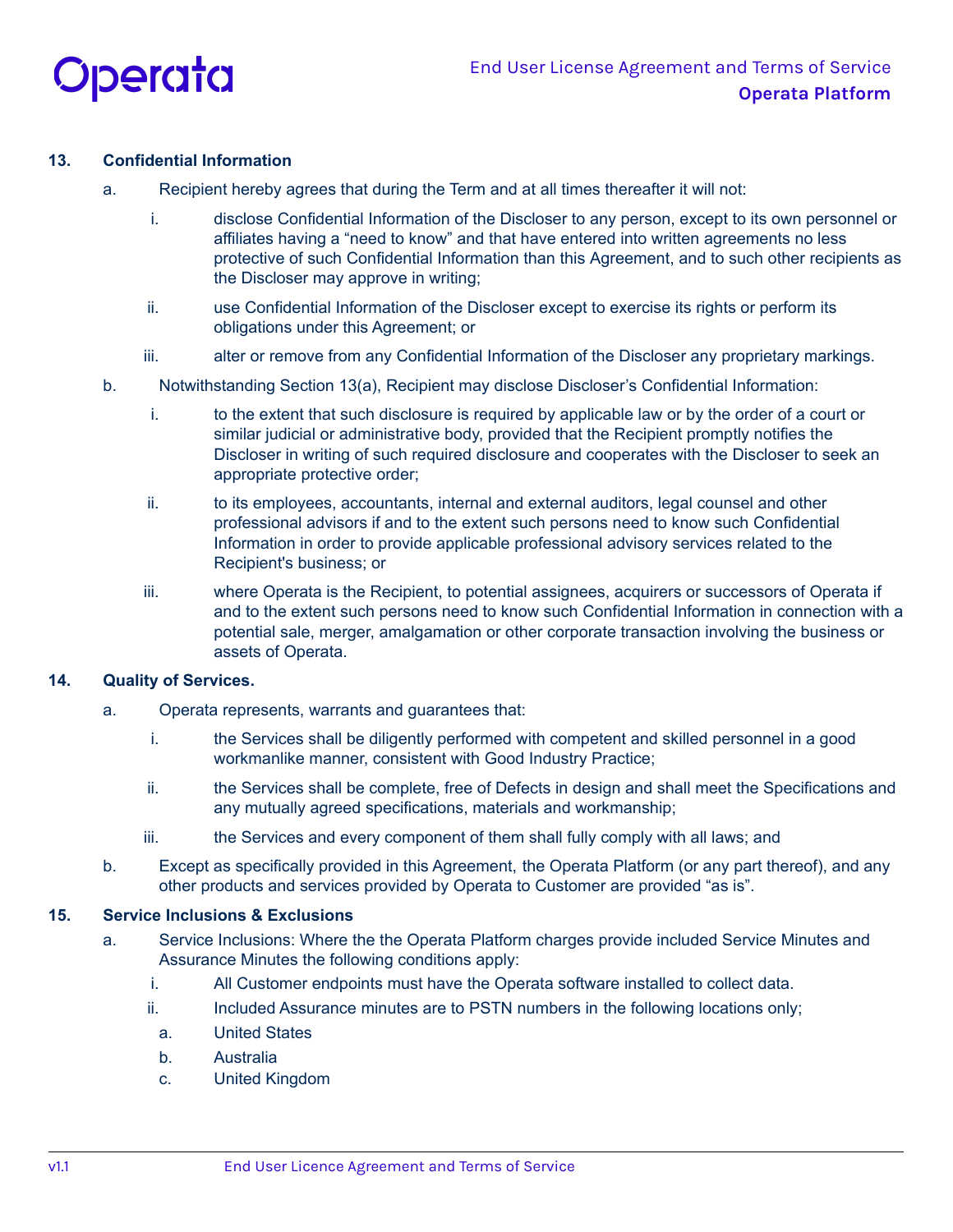

# **13. Confidential Information**

- a. Recipient hereby agrees that during the Term and at all times thereafter it will not:
	- i. disclose Confidential Information of the Discloser to any person, except to its own personnel or affiliates having a "need to know" and that have entered into written agreements no less protective of such Confidential Information than this Agreement, and to such other recipients as the Discloser may approve in writing;
	- ii. use Confidential Information of the Discloser except to exercise its rights or perform its obligations under this Agreement; or
	- iii. alter or remove from any Confidential Information of the Discloser any proprietary markings.
- b. Notwithstanding Section 13(a), Recipient may disclose Discloser's Confidential Information:
	- i. to the extent that such disclosure is required by applicable law or by the order of a court or similar judicial or administrative body, provided that the Recipient promptly notifies the Discloser in writing of such required disclosure and cooperates with the Discloser to seek an appropriate protective order;
	- ii. to its employees, accountants, internal and external auditors, legal counsel and other professional advisors if and to the extent such persons need to know such Confidential Information in order to provide applicable professional advisory services related to the Recipient's business; or
	- iii. where Operata is the Recipient, to potential assignees, acquirers or successors of Operata if and to the extent such persons need to know such Confidential Information in connection with a potential sale, merger, amalgamation or other corporate transaction involving the business or assets of Operata.

## **14. Quality of Services.**

- a. Operata represents, warrants and guarantees that:
	- i. the Services shall be diligently performed with competent and skilled personnel in a good workmanlike manner, consistent with Good Industry Practice;
	- ii. the Services shall be complete, free of Defects in design and shall meet the Specifications and any mutually agreed specifications, materials and workmanship;
	- iii. the Services and every component of them shall fully comply with all laws; and
- b. Except as specifically provided in this Agreement, the Operata Platform (or any part thereof), and any other products and services provided by Operata to Customer are provided "as is".

## **15. Service Inclusions & Exclusions**

- a. Service Inclusions: Where the the Operata Platform charges provide included Service Minutes and Assurance Minutes the following conditions apply:
	- i. All Customer endpoints must have the Operata software installed to collect data.
	- ii. Included Assurance minutes are to PSTN numbers in the following locations only;
		- a. United States
		- b. Australia
		- c. United Kingdom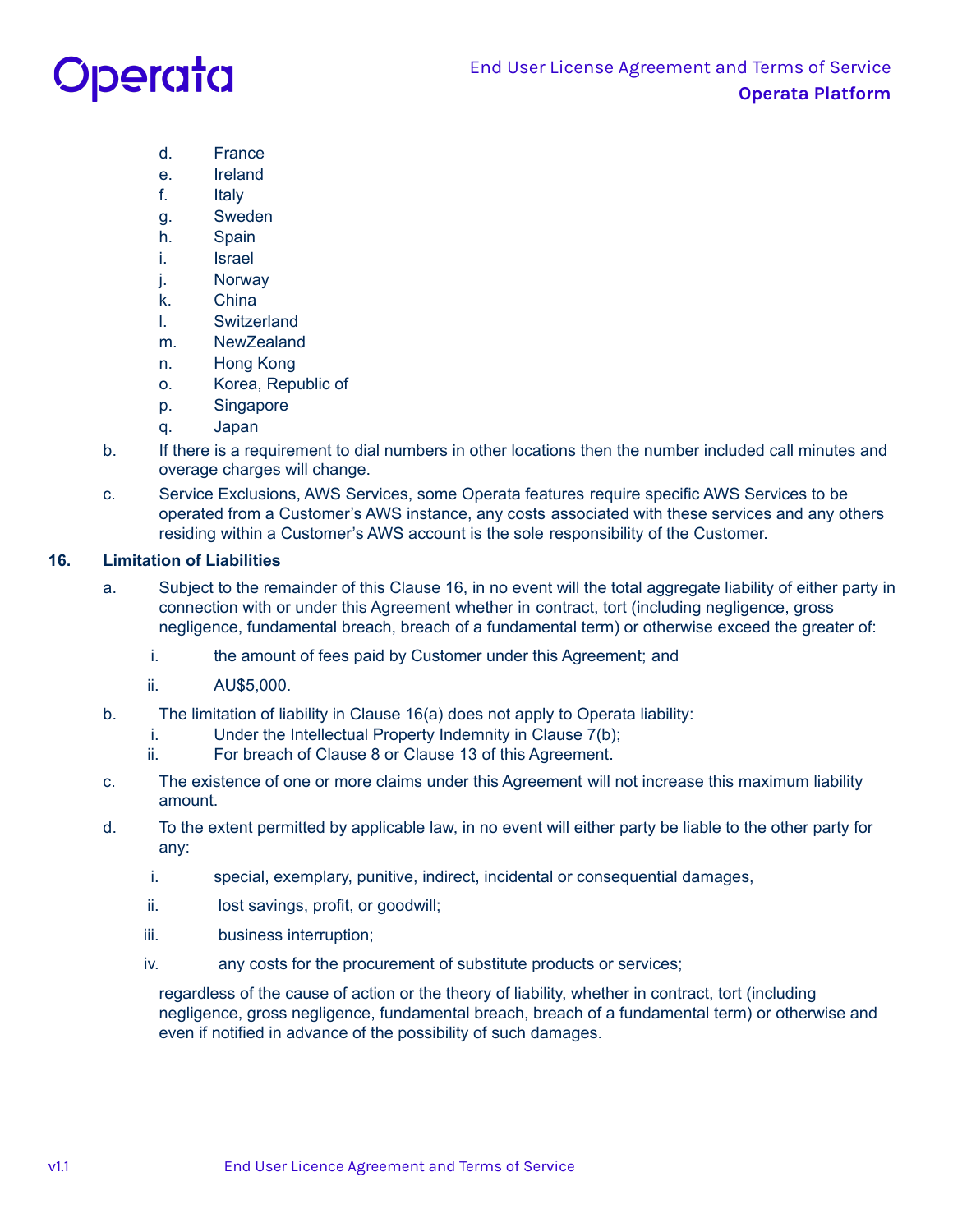# Operata

- d. France
- e. Ireland
- f. Italy
- g. Sweden
- h. Spain
- i. Israel
- j. Norway
- k. China
- l. Switzerland
- m. NewZealand
- n. Hong Kong
- o. Korea, Republic of
- p. Singapore
- q. Japan
- b. If there is a requirement to dial numbers in other locations then the number included call minutes and overage charges will change.
- c. Service Exclusions, AWS Services, some Operata features require specific AWS Services to be operated from a Customer's AWS instance, any costs associated with these services and any others residing within a Customer's AWS account is the sole responsibility of the Customer.

# **16. Limitation of Liabilities**

- a. Subject to the remainder of this Clause 16, in no event will the total aggregate liability of either party in connection with or under this Agreement whether in contract, tort (including negligence, gross negligence, fundamental breach, breach of a fundamental term) or otherwise exceed the greater of:
	- i. the amount of fees paid by Customer under this Agreement; and
	- ii. AU\$5,000.
- b. The limitation of liability in Clause 16(a) does not apply to Operata liability:
	- i. Under the Intellectual Property Indemnity in Clause 7(b);
	- ii. For breach of Clause 8 or Clause 13 of this Agreement.
- c. The existence of one or more claims under this Agreement will not increase this maximum liability amount.
- d. To the extent permitted by applicable law, in no event will either party be liable to the other party for any:
	- i. special, exemplary, punitive, indirect, incidental or consequential damages,
	- ii. lost savings, profit, or goodwill;
	- iii. business interruption;
	- iv. any costs for the procurement of substitute products or services;

regardless of the cause of action or the theory of liability, whether in contract, tort (including negligence, gross negligence, fundamental breach, breach of a fundamental term) or otherwise and even if notified in advance of the possibility of such damages.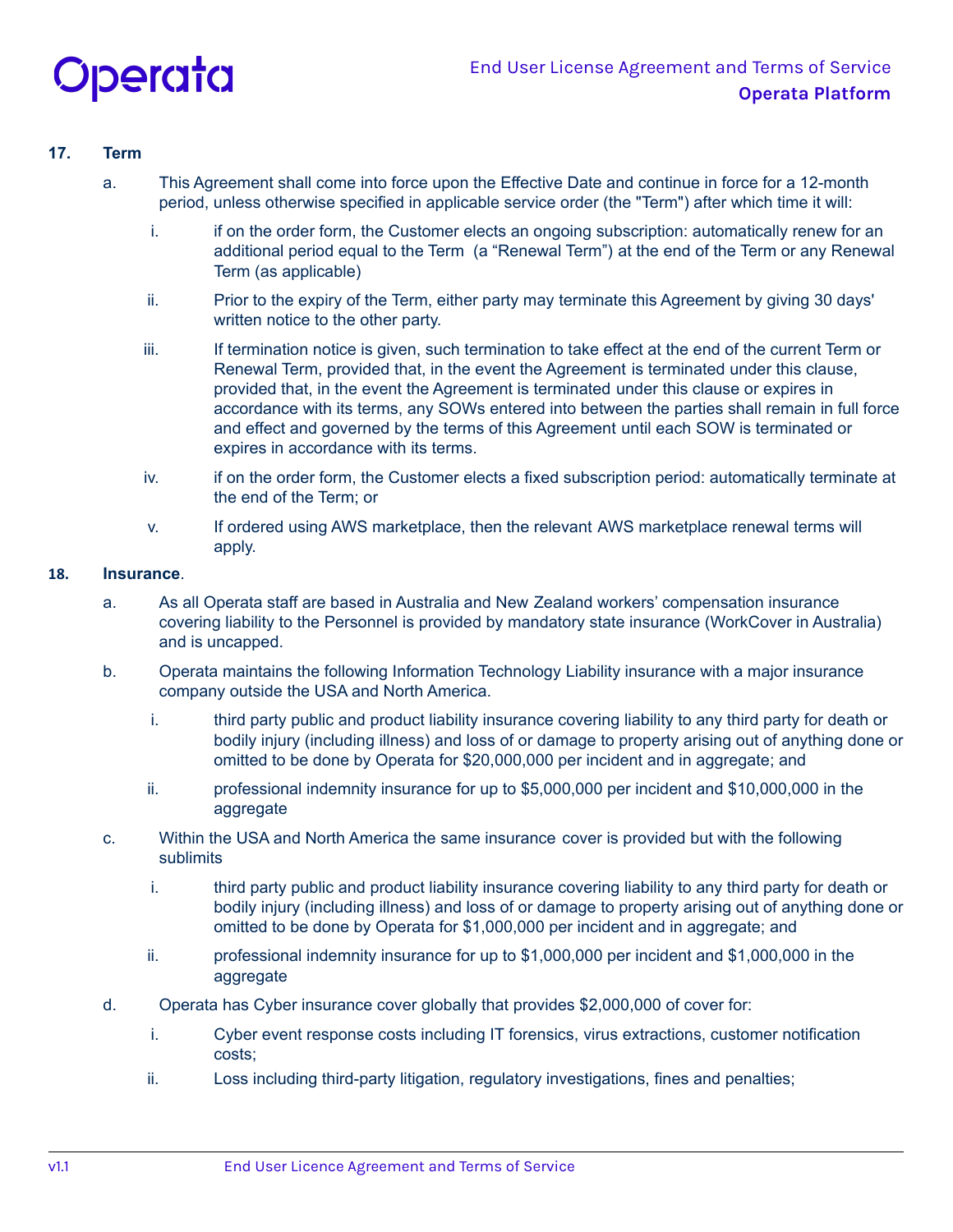

# **17. Term**

- a. This Agreement shall come into force upon the Effective Date and continue in force for a 12-month period, unless otherwise specified in applicable service order (the "Term") after which time it will:
	- i. if on the order form, the Customer elects an ongoing subscription: automatically renew for an additional period equal to the Term (a "Renewal Term") at the end of the Term or any Renewal Term (as applicable)
	- ii. Prior to the expiry of the Term, either party may terminate this Agreement by giving 30 days' written notice to the other party.
	- iii. If termination notice is given, such termination to take effect at the end of the current Term or Renewal Term, provided that, in the event the Agreement is terminated under this clause, provided that, in the event the Agreement is terminated under this clause or expires in accordance with its terms, any SOWs entered into between the parties shall remain in full force and effect and governed by the terms of this Agreement until each SOW is terminated or expires in accordance with its terms.
	- iv. if on the order form, the Customer elects a fixed subscription period: automatically terminate at the end of the Term; or
	- v. If ordered using AWS marketplace, then the relevant AWS marketplace renewal terms will apply.

### **18. Insurance**.

- a. As all Operata staff are based in Australia and New Zealand workers' compensation insurance covering liability to the Personnel is provided by mandatory state insurance (WorkCover in Australia) and is uncapped.
- b. Operata maintains the following Information Technology Liability insurance with a major insurance company outside the USA and North America.
	- i. third party public and product liability insurance covering liability to any third party for death or bodily injury (including illness) and loss of or damage to property arising out of anything done or omitted to be done by Operata for \$20,000,000 per incident and in aggregate; and
	- ii. professional indemnity insurance for up to \$5,000,000 per incident and \$10,000,000 in the aggregate
- c. Within the USA and North America the same insurance cover is provided but with the following sublimits
	- i. third party public and product liability insurance covering liability to any third party for death or bodily injury (including illness) and loss of or damage to property arising out of anything done or omitted to be done by Operata for \$1,000,000 per incident and in aggregate; and
	- ii. professional indemnity insurance for up to \$1,000,000 per incident and \$1,000,000 in the aggregate
- d. Operata has Cyber insurance cover globally that provides \$2,000,000 of cover for:
	- i. Cyber event response costs including IT forensics, virus extractions, customer notification costs;
	- ii. Loss including third-party litigation, regulatory investigations, fines and penalties;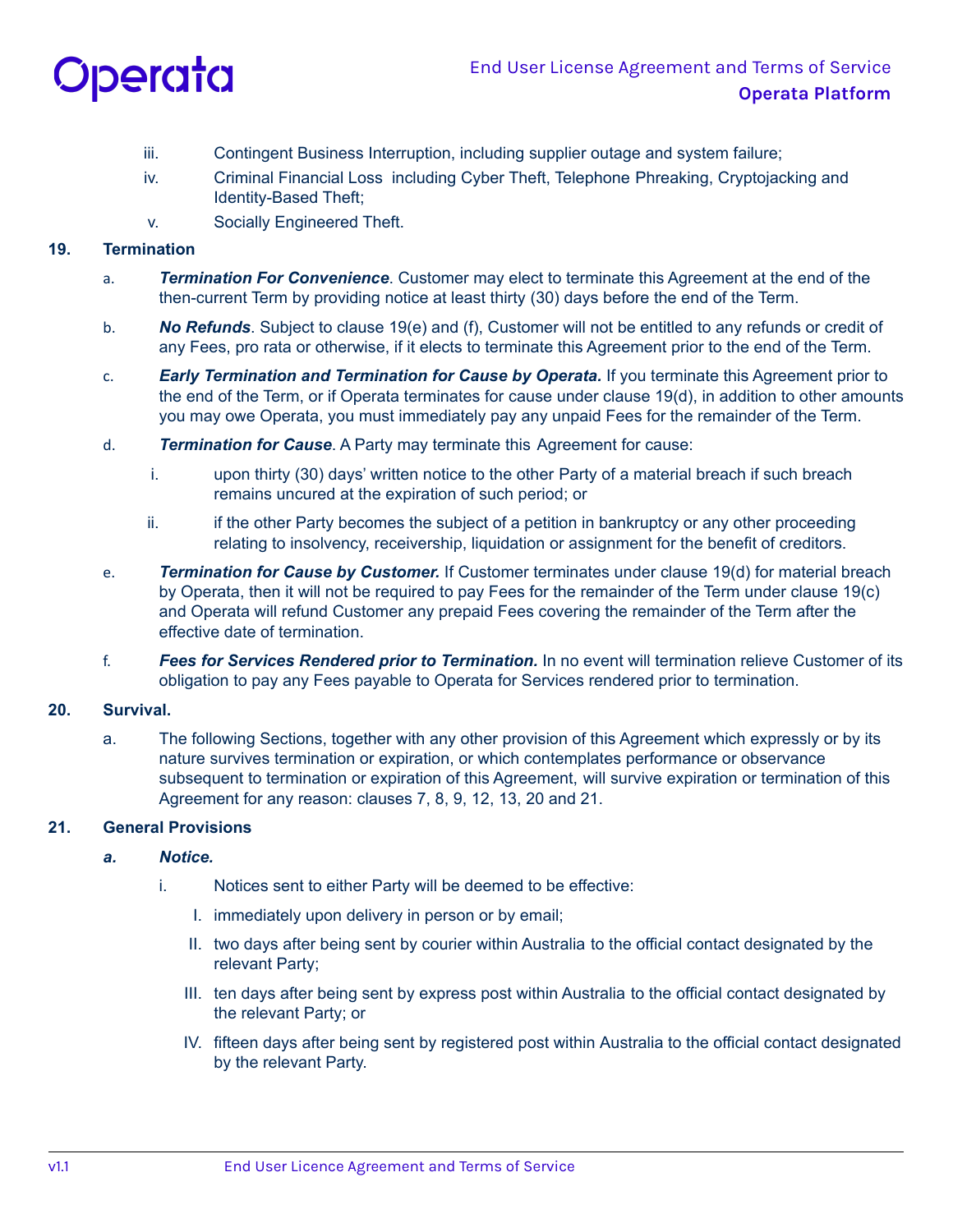

- iii. Contingent Business Interruption, including supplier outage and system failure;
- iv. Criminal Financial Loss including Cyber Theft, Telephone Phreaking, Cryptojacking and Identity-Based Theft;
- v. Socially Engineered Theft.

## **19. Termination**

- a. *Termination For Convenience*. Customer may elect to terminate this Agreement at the end of the then-current Term by providing notice at least thirty (30) days before the end of the Term.
- b. *No Refunds*. Subject to clause 19(e) and (f), Customer will not be entitled to any refunds or credit of any Fees, pro rata or otherwise, if it elects to terminate this Agreement prior to the end of the Term.
- c. *Early Termination and Termination for Cause by Operata.* If you terminate this Agreement prior to the end of the Term, or if Operata terminates for cause under clause 19(d), in addition to other amounts you may owe Operata, you must immediately pay any unpaid Fees for the remainder of the Term.
- d. *Termination for Cause*. A Party may terminate this Agreement for cause:
	- i. upon thirty (30) days' written notice to the other Party of a material breach if such breach remains uncured at the expiration of such period; or
	- ii. if the other Party becomes the subject of a petition in bankruptcy or any other proceeding relating to insolvency, receivership, liquidation or assignment for the benefit of creditors.
- e. *Termination for Cause by Customer.* If Customer terminates under clause 19(d) for material breach by Operata, then it will not be required to pay Fees for the remainder of the Term under clause 19(c) and Operata will refund Customer any prepaid Fees covering the remainder of the Term after the effective date of termination.
- f. *Fees for Services Rendered prior to Termination.* In no event will termination relieve Customer of its obligation to pay any Fees payable to Operata for Services rendered prior to termination.

# **20. Survival.**

a. The following Sections, together with any other provision of this Agreement which expressly or by its nature survives termination or expiration, or which contemplates performance or observance subsequent to termination or expiration of this Agreement, will survive expiration or termination of this Agreement for any reason: clauses 7, 8, 9, 12, 13, 20 and 21.

## **21. General Provisions**

## *a. Notice.*

- i. Notices sent to either Party will be deemed to be effective:
	- I. immediately upon delivery in person or by email;
	- II. two days after being sent by courier within Australia to the official contact designated by the relevant Party;
	- III. ten days after being sent by express post within Australia to the official contact designated by the relevant Party; or
	- IV. fifteen days after being sent by registered post within Australia to the official contact designated by the relevant Party.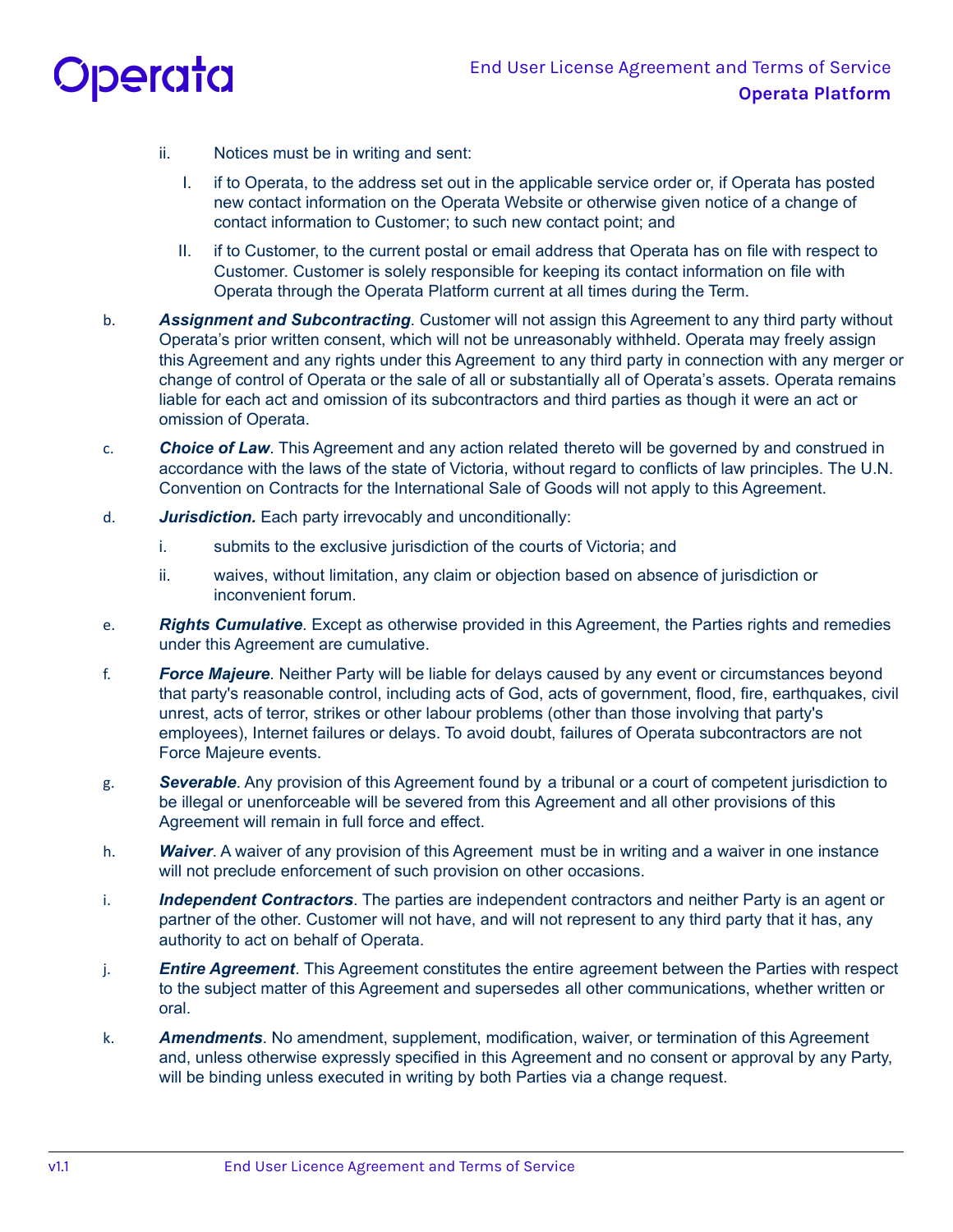

- ii. Notices must be in writing and sent:
	- I. if to Operata, to the address set out in the applicable service order or, if Operata has posted new contact information on the Operata Website or otherwise given notice of a change of contact information to Customer; to such new contact point; and
	- II. if to Customer, to the current postal or email address that Operata has on file with respect to Customer. Customer is solely responsible for keeping its contact information on file with Operata through the Operata Platform current at all times during the Term.
- b. *Assignment and Subcontracting*. Customer will not assign this Agreement to any third party without Operata's prior written consent, which will not be unreasonably withheld. Operata may freely assign this Agreement and any rights under this Agreement to any third party in connection with any merger or change of control of Operata or the sale of all or substantially all of Operata's assets. Operata remains liable for each act and omission of its subcontractors and third parties as though it were an act or omission of Operata.
- c. *Choice of Law*. This Agreement and any action related thereto will be governed by and construed in accordance with the laws of the state of Victoria, without regard to conflicts of law principles. The U.N. Convention on Contracts for the International Sale of Goods will not apply to this Agreement.
- d. *Jurisdiction.* Each party irrevocably and unconditionally:
	- i. submits to the exclusive jurisdiction of the courts of Victoria; and
	- ii. waives, without limitation, any claim or objection based on absence of jurisdiction or inconvenient forum.
- e. *Rights Cumulative*. Except as otherwise provided in this Agreement, the Parties rights and remedies under this Agreement are cumulative.
- f. *Force Majeure*. Neither Party will be liable for delays caused by any event or circumstances beyond that party's reasonable control, including acts of God, acts of government, flood, fire, earthquakes, civil unrest, acts of terror, strikes or other labour problems (other than those involving that party's employees), Internet failures or delays. To avoid doubt, failures of Operata subcontractors are not Force Majeure events.
- g. *Severable*. Any provision of this Agreement found by a tribunal or a court of competent jurisdiction to be illegal or unenforceable will be severed from this Agreement and all other provisions of this Agreement will remain in full force and effect.
- h. *Waiver*. A waiver of any provision of this Agreement must be in writing and a waiver in one instance will not preclude enforcement of such provision on other occasions.
- i. *Independent Contractors*. The parties are independent contractors and neither Party is an agent or partner of the other. Customer will not have, and will not represent to any third party that it has, any authority to act on behalf of Operata.
- j. *Entire Agreement*. This Agreement constitutes the entire agreement between the Parties with respect to the subject matter of this Agreement and supersedes all other communications, whether written or oral.
- k. *Amendments*. No amendment, supplement, modification, waiver, or termination of this Agreement and, unless otherwise expressly specified in this Agreement and no consent or approval by any Party, will be binding unless executed in writing by both Parties via a change request.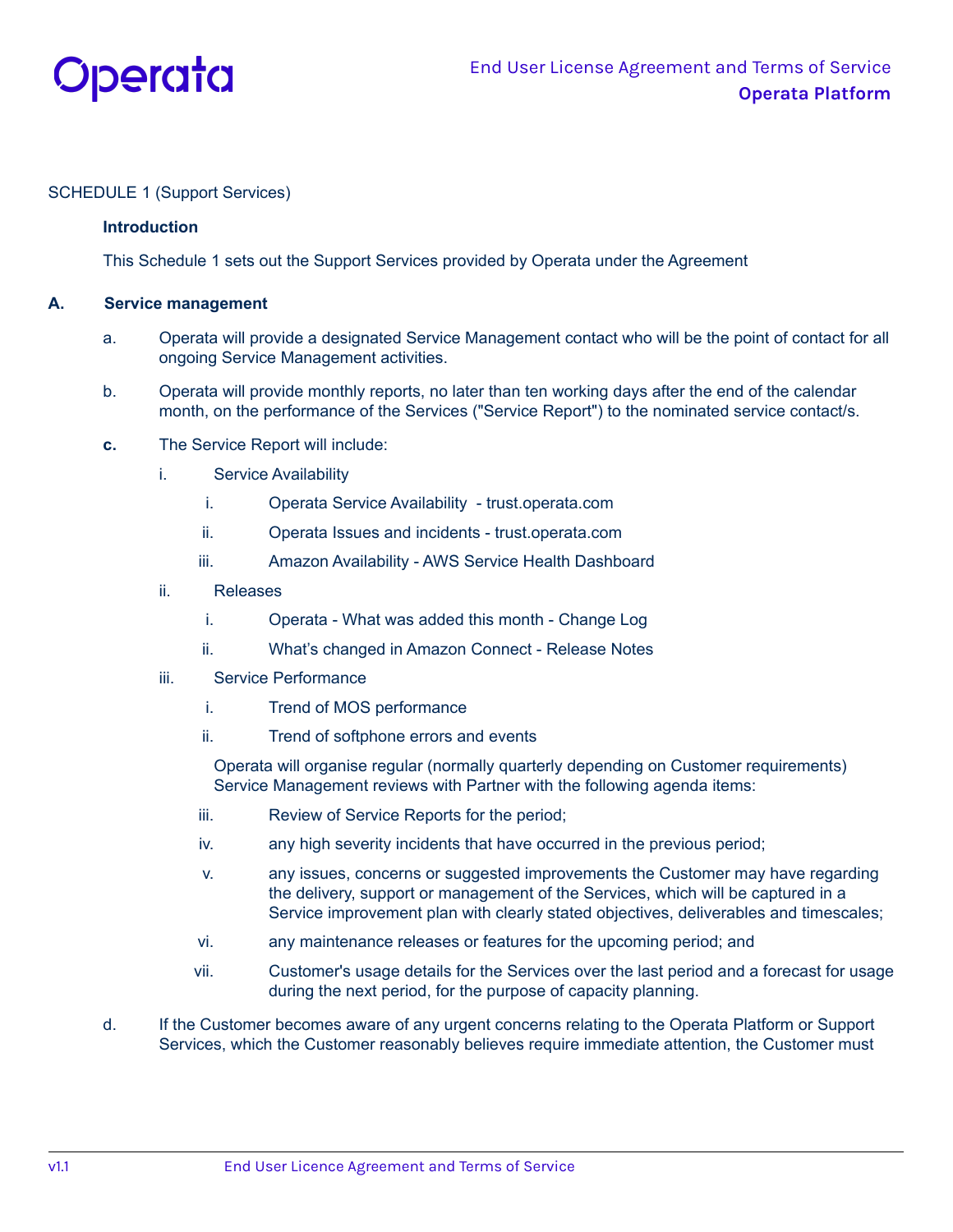

## SCHEDULE 1 (Support Services)

## **Introduction**

This Schedule 1 sets out the Support Services provided by Operata under the Agreement

## **A. Service management**

- a. Operata will provide a designated Service Management contact who will be the point of contact for all ongoing Service Management activities.
- b. Operata will provide monthly reports, no later than ten working days after the end of the calendar month, on the performance of the Services ("Service Report") to the nominated service contact/s.
- **c.** The Service Report will include:
	- i. Service Availability
		- i. Operata Service Availability trust.operata.com
		- ii. Operata Issues and incidents trust.operata.com
		- iii. Amazon Availability AWS Service Health Dashboard
	- ii. Releases
		- i. Operata What was added this month Change Log
		- ii. What's changed in Amazon Connect Release Notes
	- iii. Service Performance
		- i. Trend of MOS performance
		- ii. Trend of softphone errors and events

Operata will organise regular (normally quarterly depending on Customer requirements) Service Management reviews with Partner with the following agenda items:

- iii. Review of Service Reports for the period;
- iv. any high severity incidents that have occurred in the previous period;
- v. any issues, concerns or suggested improvements the Customer may have regarding the delivery, support or management of the Services, which will be captured in a Service improvement plan with clearly stated objectives, deliverables and timescales;
- vi. any maintenance releases or features for the upcoming period; and
- vii. Customer's usage details for the Services over the last period and a forecast for usage during the next period, for the purpose of capacity planning.
- d. If the Customer becomes aware of any urgent concerns relating to the Operata Platform or Support Services, which the Customer reasonably believes require immediate attention, the Customer must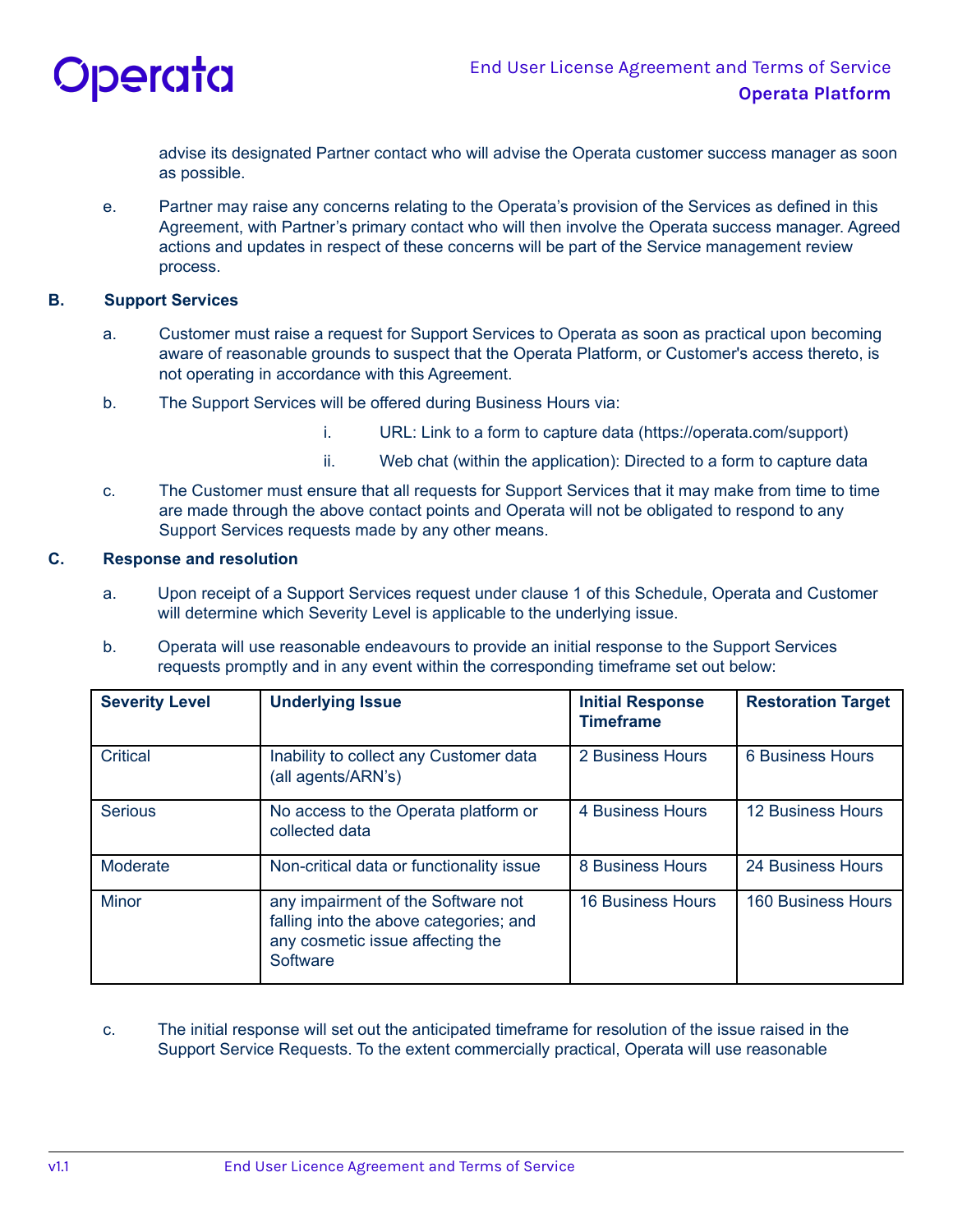

advise its designated Partner contact who will advise the Operata customer success manager as soon as possible.

e. Partner may raise any concerns relating to the Operata's provision of the Services as defined in this Agreement, with Partner's primary contact who will then involve the Operata success manager. Agreed actions and updates in respect of these concerns will be part of the Service management review process.

### **B. Support Services**

- a. Customer must raise a request for Support Services to Operata as soon as practical upon becoming aware of reasonable grounds to suspect that the Operata Platform, or Customer's access thereto, is not operating in accordance with this Agreement.
- b. The Support Services will be offered during Business Hours via:
	- i. URL: Link to a form to capture data (https://operata.com/support)
	- ii. Web chat (within the application): Directed to a form to capture data
- c. The Customer must ensure that all requests for Support Services that it may make from time to time are made through the above contact points and Operata will not be obligated to respond to any Support Services requests made by any other means.

## **C. Response and resolution**

- a. Upon receipt of a Support Services request under clause 1 of this Schedule, Operata and Customer will determine which Severity Level is applicable to the underlying issue.
- b. Operata will use reasonable endeavours to provide an initial response to the Support Services requests promptly and in any event within the corresponding timeframe set out below:

| <b>Severity Level</b> | <b>Underlying Issue</b>                                                                                                      | <b>Initial Response</b><br><b>Timeframe</b> | <b>Restoration Target</b> |
|-----------------------|------------------------------------------------------------------------------------------------------------------------------|---------------------------------------------|---------------------------|
| Critical              | Inability to collect any Customer data<br>(all agents/ARN's)                                                                 | 2 Business Hours                            | <b>6 Business Hours</b>   |
| <b>Serious</b>        | No access to the Operata platform or<br>collected data                                                                       | 4 Business Hours                            | <b>12 Business Hours</b>  |
| Moderate              | Non-critical data or functionality issue                                                                                     | 8 Business Hours                            | 24 Business Hours         |
| <b>Minor</b>          | any impairment of the Software not<br>falling into the above categories; and<br>any cosmetic issue affecting the<br>Software | <b>16 Business Hours</b>                    | <b>160 Business Hours</b> |

c. The initial response will set out the anticipated timeframe for resolution of the issue raised in the Support Service Requests. To the extent commercially practical, Operata will use reasonable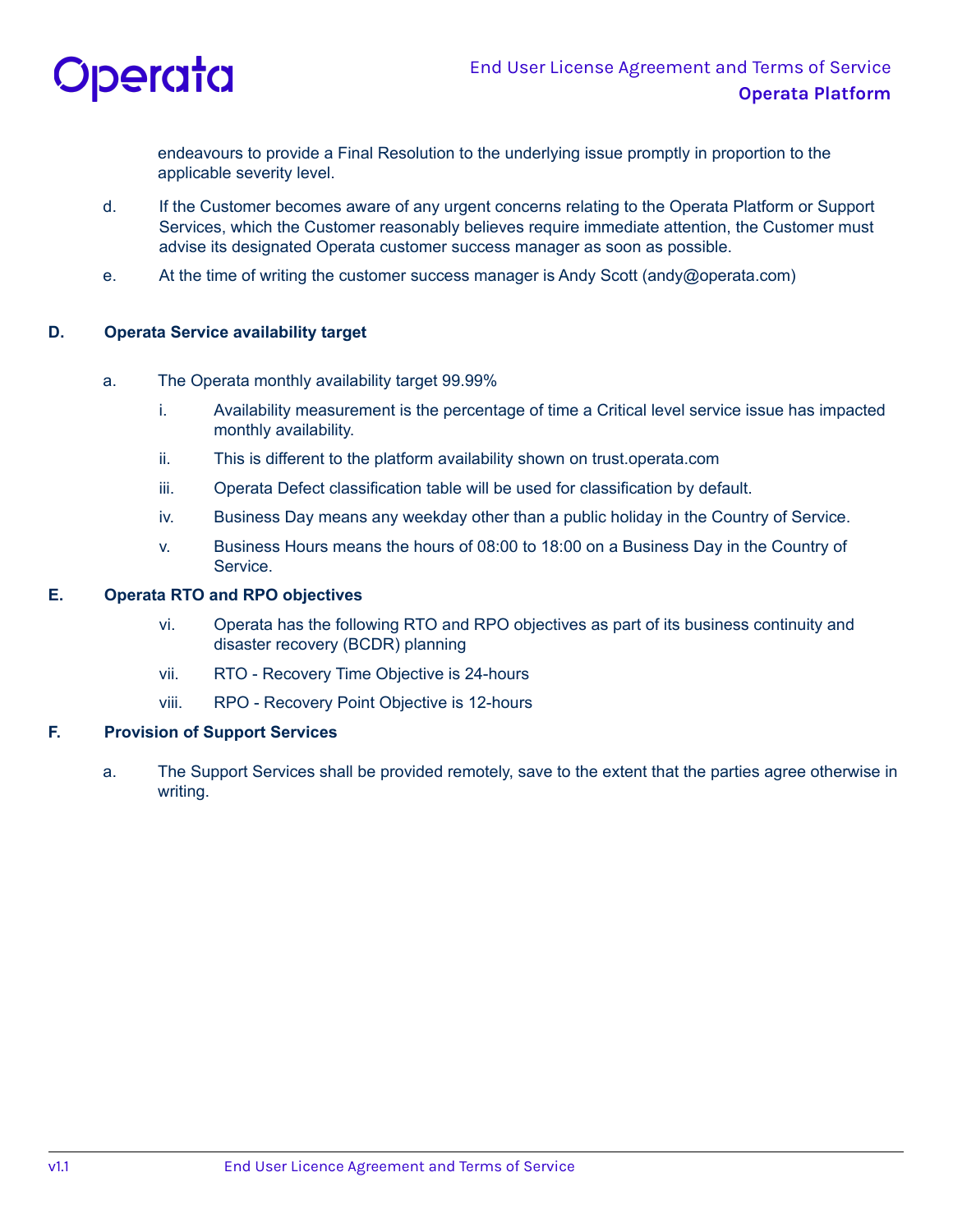

endeavours to provide a Final Resolution to the underlying issue promptly in proportion to the applicable severity level.

- d. If the Customer becomes aware of any urgent concerns relating to the Operata Platform or Support Services, which the Customer reasonably believes require immediate attention, the Customer must advise its designated Operata customer success manager as soon as possible.
- e. At the time of writing the customer success manager is Andy Scott (andy@operata.com)

## **D. Operata Service availability target**

- a. The Operata monthly availability target 99.99%
	- i. Availability measurement is the percentage of time a Critical level service issue has impacted monthly availability.
	- ii. This is different to the platform availability shown on trust.operata.com
	- iii. Operata Defect classification table will be used for classification by default.
	- iv. Business Day means any weekday other than a public holiday in the Country of Service.
	- v. Business Hours means the hours of 08:00 to 18:00 on a Business Day in the Country of Service.

## **E. Operata RTO and RPO objectives**

- vi. Operata has the following RTO and RPO objectives as part of its business continuity and disaster recovery (BCDR) planning
- vii. RTO Recovery Time Objective is 24-hours
- viii. RPO Recovery Point Objective is 12-hours

# **F. Provision of Support Services**

a. The Support Services shall be provided remotely, save to the extent that the parties agree otherwise in writing.